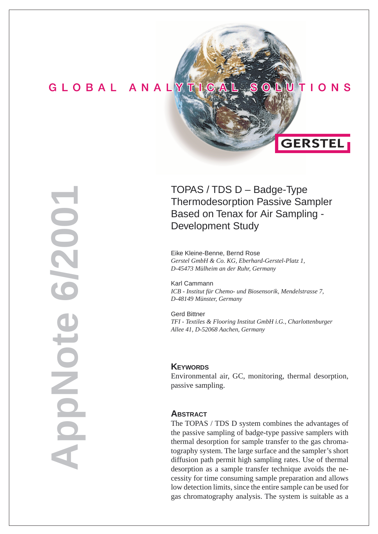# GLOBAL ANALYTIC

**AppNote 6/2001**

DIONOIC

6/200

# TOPAS / TDS D – Badge-Type Thermodesorption Passive Sampler Based on Tenax for Air Sampling - Development Study

 $\boldsymbol{\Theta}$ 

 $IO$  N S

**GERSTEL** 

Eike Kleine-Benne, Bernd Rose *Gerstel GmbH & Co. KG, Eberhard-Gerstel-Platz 1, D-45473 Mülheim an der Ruhr, Germany*

Karl Cammann *ICB - Institut für Chemo- und Biosensorik, Mendelstrasse 7, D-48149 Münster, Germany*

Gerd Bittner *TFI - Textiles & Flooring Institut GmbH i.G., Charlottenburger Allee 41, D-52068 Aachen, Germany*

### **KEYWORDS**

Environmental air, GC, monitoring, thermal desorption, passive sampling.

### **ABSTRACT**

The TOPAS / TDS D system combines the advantages of the passive sampling of badge-type passive samplers with thermal desorption for sample transfer to the gas chromatography system. The large surface and the sampler's short diffusion path permit high sampling rates. Use of thermal desorption as a sample transfer technique avoids the necessity for time consuming sample preparation and allows low detection limits, since the entire sample can be used for gas chromatography analysis. The system is suitable as a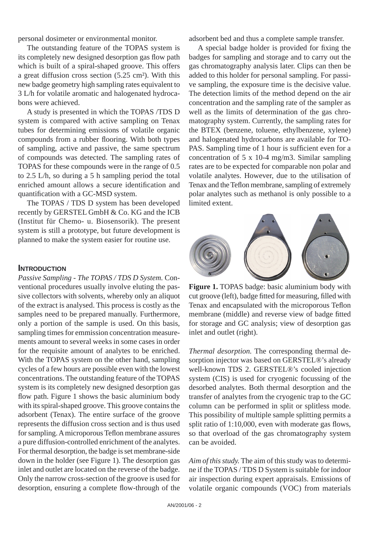personal dosimeter or environmental monitor.

The outstanding feature of the TOPAS system is its completely new designed desorption gas flow path which is built of a spiral-shaped groove. This offers a great diffusion cross section (5.25 cm²). With this new badge geometry high sampling rates equivalent to 3 L/h for volatile aromatic and halogenated hydrocabons were achieved.

A study is presented in which the TOPAS /TDS D system is compared with active sampling on Tenax tubes for determining emissions of volatile organic compounds from a rubber flooring. With both types of sampling, active and passive, the same spectrum of compounds was detected. The sampling rates of TOPAS for these compounds were in the range of 0.5 to 2.5 L/h, so during a 5 h sampling period the total enriched amount allows a secure identification and quantification with a GC-MSD system.

The TOPAS / TDS D system has been developed recently by GERSTEL GmbH & Co. KG and the ICB (Institut für Chemo- u. Biosensorik). The present system is still a prototype, but future development is planned to make the system easier for routine use.

### **INTRODUCTION**

*Passive Sampling - The TOPAS / TDS D System.* Conventional procedures usually involve eluting the pas sive collectors with solvents, whereby only an aliquot of the extract is analysed. This process is costly as the samples need to be prepared manually. Furthermore, only a portion of the sample is used. On this basis, sampling times for emmission concentration measurements amount to several weeks in some cases in order for the requisite amount of analytes to be enriched. With the TOPAS system on the other hand, sampling cycles of a few hours are possible even with the lowest concentrations. The outstanding feature of the TOPAS system is its completely new designed desorption gas flow path. Figure 1 shows the basic aluminium body with its spiral-shaped groove. This groove contains the adsorbent (Tenax). The entire surface of the groove represents the diffusion cross section and is thus used for sampling. A microporous Teflon membrane assures a pure diffusion-controlled enrichment of the analytes. For thermal desorption, the badge is set membrane-side down in the holder (see Figure 1). The desorption gas inlet and outlet are located on the reverse of the badge. Only the narrow cross-section of the groove is used for desorption, ensuring a complete flow-through of the

adsorbent bed and thus a complete sample transfer.

A special badge holder is provided for fixing the badges for sampling and storage and to carry out the gas chromatography analysis later. Clips can then be added to this holder for personal sampling. For passive sampling, the exposure time is the decisive value. The detection limits of the method depend on the air concentration and the sampling rate of the sampler as well as the limits of determination of the gas chromatography system. Currently, the sampling rates for the BTEX (benzene, toluene, ethylbenzene, xylene) and halogenated hydrocarbons are available for TO-PAS. Sampling time of 1 hour is sufficient even for a concentration of 5 x 10-4 mg/m3. Similar sampling rates are to be expected for comparable non polar and volatile analytes. However, due to the utilisation of Tenax and the Teflon membrane, sampling of extremely polar analytes such as methanol is only possible to a limited extent.



**Figure 1.** TOPAS badge: basic aluminium body with cut groove (left), badge fitted for measuring, filled with Tenax and encapsulated with the microporous Teflon membrane (middle) and reverse view of badge fitted for storage and GC analysis; view of desorption gas inlet and outlet (right).

*Thermal desorption.* The corresponding thermal desorption injector was based on GERSTEL®'s already well-known TDS 2. GERSTEL®'s cooled injection system (CIS) is used for cryogenic focussing of the desorbed analytes. Both thermal desorption and the transfer of analytes from the cryogenic trap to the GC column can be performed in split or splitless mode. This possibility of multiple sample splitting permits a split ratio of  $1:10,000$ , even with moderate gas flows, so that overload of the gas chromatography system can be avoided.

*Aim of this study.* The aim of this study was to determine if the TOPAS / TDS D System is suitable for indoor air inspection during expert appraisals. Emissions of volatile organic compounds (VOC) from materials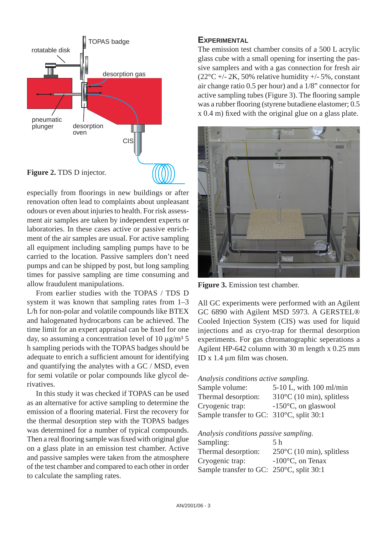

especially from floorings in new buildings or after renovation often lead to complaints about unpleasant odours or even about injuries to health. For risk assessment air samples are taken by independent experts or laboratories. In these cases active or passive enrichment of the air samples are usual. For active sampling all equipment including sampling pumps have to be carried to the location. Passive samplers don't need pumps and can be shipped by post, but long sampling times for passive sampling are time consuming and allow fraudulent manipulations.

From earlier studies with the TOPAS / TDS D system it was known that sampling rates from 1–3 L/h for non-polar and volatile compounds like BTEX and halogenated hydrocarbons can be achieved. The time limit for an expert appraisal can be fixed for one day, so assuming a concentration level of 10  $\mu$ g/m<sup>3</sup> 5 h sampling periods with the TOPAS badges should be adequate to enrich a sufficient amount for identifying and quantifying the analytes with a GC / MSD, even for semi volatile or polar compounds like glycol derivatives.

In this study it was checked if TOPAS can be used as an alternative for active sampling to determine the emission of a flooring material. First the recovery for the thermal desorption step with the TOPAS badges was determined for a number of typical compounds. Then a real flooring sample was fixed with original glue on a glass plate in an emission test chamber. Active and passive samples were taken from the atmosphere of the test chamber and compared to each other in order to calculate the sampling rates.

## **EXPERIMENTAL**

The emission test chamber consits of a 500 L acrylic glass cube with a small opening for inserting the passive samplers and with a gas connection for fresh air  $(22^{\circ}C + 2K, 50\%$  relative humidity  $+ 5\%$ , constant air change ratio 0.5 per hour) and a 1/8" connector for active sampling tubes (Figure 3). The flooring sample was a rubber flooring (styrene butadiene elastomer; 0.5 x 0.4 m) fixed with the original glue on a glass plate.



**Figure 3.** Emission test chamber.

All GC experiments were performed with an Agilent GC 6890 with Agilent MSD 5973. A GERSTEL® Cooled Injection System (CIS) was used for liquid injections and as cryo-trap for thermal desorption experiments. For gas chromatographic seperations a Agilent HP-642 column with 30 m length x 0.25 mm ID x  $1.4 \mu m$  film was chosen.

### *Analysis conditions active sampling.*

| Sample volume:                                     | $5-10$ L, with $100$ ml/min         |
|----------------------------------------------------|-------------------------------------|
| Thermal desorption:                                | $310^{\circ}$ C (10 min), splitless |
| Cryogenic trap:                                    | $-150^{\circ}$ C, on glaswool       |
| Sample transfer to GC: $310^{\circ}$ C, split 30:1 |                                     |

*Analysis conditions passive sampling.*

| Sampling:                                | .5 h                                |
|------------------------------------------|-------------------------------------|
| Thermal desorption:                      | $250^{\circ}$ C (10 min), splitless |
| Cryogenic trap:                          | $-100^{\circ}$ C, on Tenax          |
| Sample transfer to GC: 250°C, split 30:1 |                                     |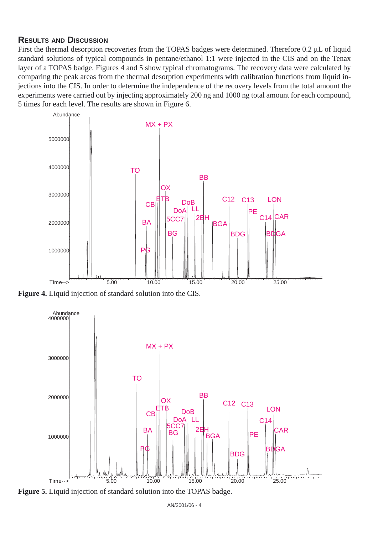## **RESULTS AND DISCUSSION**

First the thermal desorption recoveries from the TOPAS badges were determined. Therefore 0.2 μL of liquid standard solutions of typical compounds in pentane/ethanol 1:1 were injected in the CIS and on the Tenax layer of a TOPAS badge. Figures 4 and 5 show typical chromatograms. The recovery data were calculated by comparing the peak areas from the thermal desorption experiments with calibration functions from liquid injections into the CIS. In order to determine the independence of the recovery levels from the total amount the experiments were carried out by injecting approximately 200 ng and 1000 ng total amount for each compound, 5 times for each level. The results are shown in Figure 6.



**Figure 4.** Liquid injection of standard solution into the CIS.



**Figure 5.** Liquid injection of standard solution into the TOPAS badge.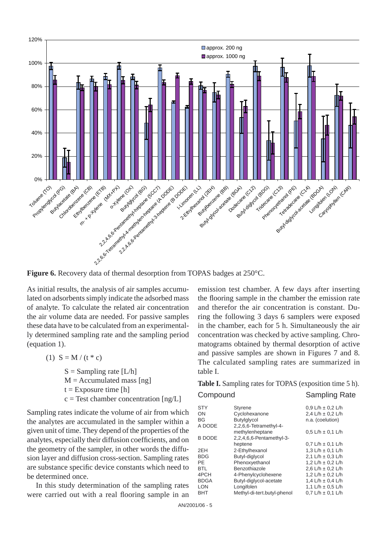

**Figure 6.** Recovery data of thermal desorption from TOPAS badges at 250°C.

As initial results, the analysis of air samples accumulated on adsorbents simply indicate the adsorbed mass of analyte. To calculate the related air concentration the air volume data are needed. For passive samples these data have to be calculated from an experimentally determined sampling rate and the sampling period (equation 1).

(1)  $S = M / (t * c)$ 

 $S =$  Sampling rate [L/h]  $M =$  Accumulated mass [ng]  $t =$  Exposure time [h]  $c = Test$  chamber concentration  $[ng/L]$ 

Sampling rates indicate the volume of air from which the analytes are accumulated in the sampler within a given unit of time. They depend of the properties of the analytes, especially their diffusion coefficients, and on the geometry of the sampler, in other words the diffusion layer and diffusion cross-section. Sampling rates are substance specific device constants which need to be determined once.

In this study determination of the sampling rates were carried out with a real flooring sample in an

emission test chamber. A few days after inserting the flooring sample in the chamber the emission rate and therefor the air concentration is constant. During the following 3 days 6 samplers were exposed in the chamber, each for 5 h. Simultaneously the air concentration was checked by active sampling. Chromatograms obtained by thermal desorption of active and passive samples are shown in Figures 7 and 8. The calculated sampling rates are summarized in table I.

**Table I.** Sampling rates for TOPAS (exposition time 5 h).

# Compound Sampling Rate

| STY           | <b>Styrene</b>              | $0.9 L/h \pm 0.2 L/h$   |
|---------------|-----------------------------|-------------------------|
| OΝ            | Cyclohexanone               | 2.4 L/h $\pm$ 0.2 L/h   |
| ΒG            | <b>Butylglycol</b>          | n.a. (coelution)        |
| A DODE        | 2,2,6,6-Tetramethyl-4-      |                         |
|               | methylenheptane             | $0.5$ L/h $\pm$ 0.1 L/h |
| <b>B DODE</b> | 2,2,4,6,6-Pentamethyl-3-    |                         |
|               | heptene                     | $0.7 L/h \pm 0.1 L/h$   |
| 2EH           | 2-Ethylhexanol              | 1,3 L/h $\pm$ 0,1 L/h   |
| <b>BDG</b>    | Butyl-diglycol              | 2.1 L/h $\pm$ 0.3 L/h   |
| РE            | Phenoxyethanol              | 1,2 L/h $\pm$ 0,2 L/h   |
| <b>BTL</b>    | Benzothiazole               | 2.6 L/h $\pm$ 0.2 L/h   |
| 4PCH          | 4-Phenylcyclohexene         | 1,2 L/h $\pm$ 0,2 L/h   |
| <b>BDGA</b>   | Butyl-diglycol-acetate      | 1.4 L/h $\pm$ 0.4 L/h   |
| LON           | Longifolen                  | 1.1 L/h $\pm$ 0.5 L/h   |
| <b>BHT</b>    | Methyl-di-tert.butyl-phenol | $0.7 L/h \pm 0.1 L/h$   |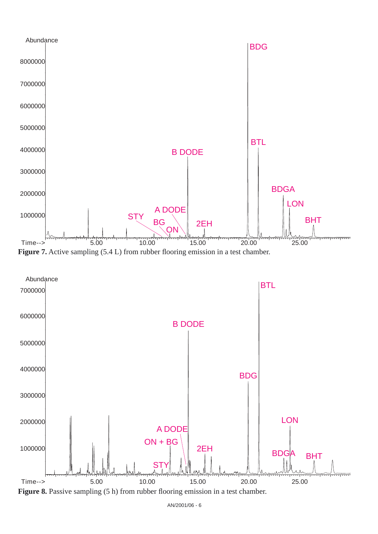



**Figure 8.** Passive sampling (5 h) from rubber flooring emission in a test chamber.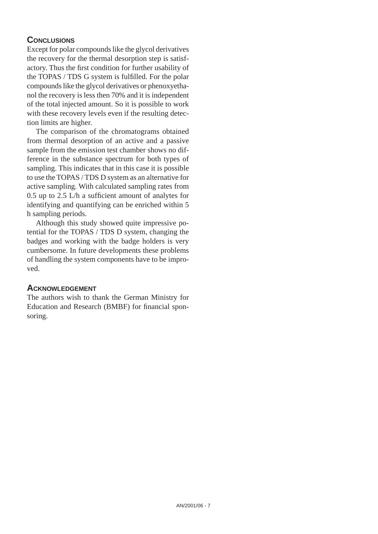# **CONCLUSIONS**

Except for polar compounds like the glycol derivatives the recovery for the thermal desorption step is satisfactory. Thus the first condition for further usability of the TOPAS / TDS G system is fulfilled. For the polar compounds like the glycol derivatives or phenoxyethanol the recovery is less then 70% and it is independent of the total injected amount. So it is possible to work with these recovery levels even if the resulting detection limits are higher.

The comparison of the chromatograms obtained from thermal desorption of an active and a passive sample from the emission test chamber shows no difference in the substance spectrum for both types of sampling. This indicates that in this case it is possible to use the TOPAS / TDS D system as an alternative for active sampling. With calculated sampling rates from 0.5 up to 2.5  $L/h$  a sufficient amount of analytes for identifying and quantifying can be enriched within 5 h sampling periods.

Although this study showed quite impressive potential for the TOPAS / TDS D system, changing the badges and working with the badge holders is very cumbersome. In future developments these problems of handling the system components have to be improved.

## **ACKNOWLEDGEMENT**

The authors wish to thank the German Ministry for Education and Research (BMBF) for financial sponsoring.